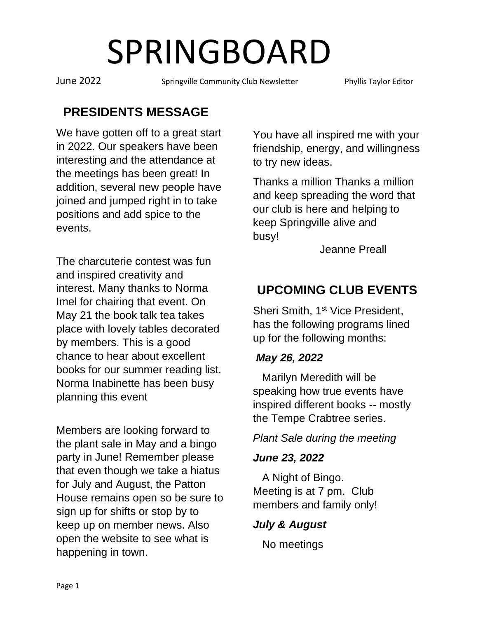June 2022 Springville Community Club Newsletter Phyllis Taylor Editor

## **PRESIDENTS MESSAGE**

We have gotten off to a great start in 2022. Our speakers have been interesting and the attendance at the meetings has been great! In addition, several new people have joined and jumped right in to take positions and add spice to the events.

The charcuterie contest was fun and inspired creativity and interest. Many thanks to Norma Imel for chairing that event. On May 21 the book talk tea takes place with lovely tables decorated by members. This is a good chance to hear about excellent books for our summer reading list. Norma Inabinette has been busy planning this event

Members are looking forward to the plant sale in May and a bingo party in June! Remember please that even though we take a hiatus for July and August, the Patton House remains open so be sure to sign up for shifts or stop by to keep up on member news. Also open the website to see what is happening in town.

You have all inspired me with your friendship, energy, and willingness to try new ideas.

Thanks a million Thanks a million and keep spreading the word that our club is here and helping to keep Springville alive and busy!

Jeanne Preall

## **UPCOMING CLUB EVENTS**

Sheri Smith, 1<sup>st</sup> Vice President, has the following programs lined up for the following months:

#### *May 26, 2022*

Marilyn Meredith will be speaking how true events have inspired different books -- mostly the Tempe Crabtree series.

#### *Plant Sale during the meeting*

#### *June 23, 2022*

A Night of Bingo. Meeting is at 7 pm. Club members and family only!

#### *July & August*

No meetings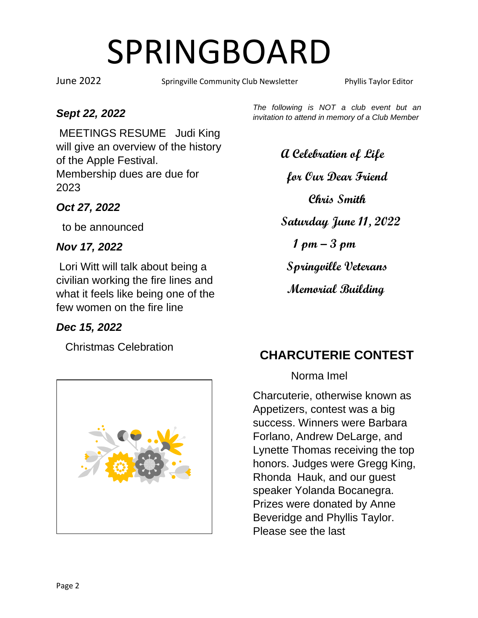June 2022 Springville Community Club Newsletter Phyllis Taylor Editor

#### *Sept 22, 2022*

MEETINGS RESUME Judi King will give an overview of the history of the Apple Festival. Membership dues are due for 2023

#### *Oct 27, 2022*

to be announced

#### *Nov 17, 2022*

Lori Witt will talk about being a civilian working the fire lines and what it feels like being one of the few women on the fire line

#### *Dec 15, 2022*

Christmas Celebration



*The following is NOT a club event but an invitation to attend in memory of a Club Member* 

> **A Celebration of Life for Our Dear Friend Chris Smith Saturday June 11, 2022 1 pm – 3 pm Springville Veterans Memorial Building**

## **CHARCUTERIE CONTEST**

#### Norma Imel

Charcuterie, otherwise known as Appetizers, contest was a big success. Winners were Barbara Forlano, Andrew DeLarge, and Lynette Thomas receiving the top honors. Judges were Gregg King, Rhonda Hauk, and our guest speaker Yolanda Bocanegra. Prizes were donated by Anne Beveridge and Phyllis Taylor. Please see the last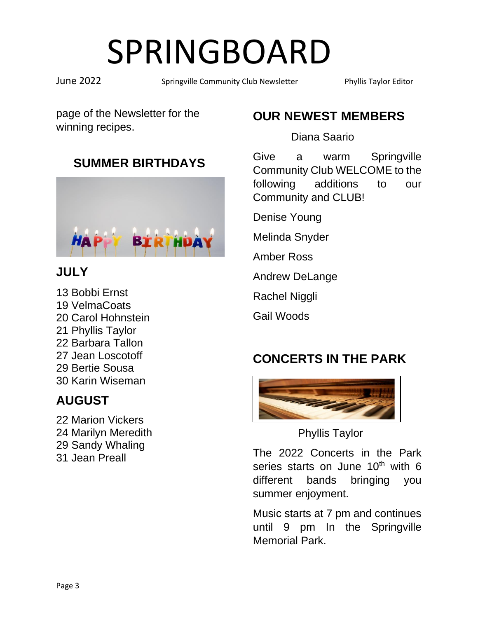June 2022 Springville Community Club Newsletter Phyllis Taylor Editor

page of the Newsletter for the winning recipes.

## **SUMMER BIRTHDAYS**



## **JULY**

13 Bobbi Ernst 19 VelmaCoats 20 Carol Hohnstein 21 Phyllis Taylor 22 Barbara Tallon 27 Jean Loscotoff 29 Bertie Sousa 30 Karin Wiseman

## **AUGUST**

22 Marion Vickers 24 Marilyn Meredith 29 Sandy Whaling 31 Jean Preall

## **OUR NEWEST MEMBERS**

Diana Saario

Give a warm Springville Community Club WELCOME to the following additions to our Community and CLUB!

Denise Young

Melinda Snyder

Amber Ross

Andrew DeLange

Rachel Niggli

Gail Woods

## **CONCERTS IN THE PARK**



Phyllis Taylor

The 2022 Concerts in the Park series starts on June  $10<sup>th</sup>$  with 6 different bands bringing you summer enjoyment.

Music starts at 7 pm and continues until 9 pm In the Springville Memorial Park.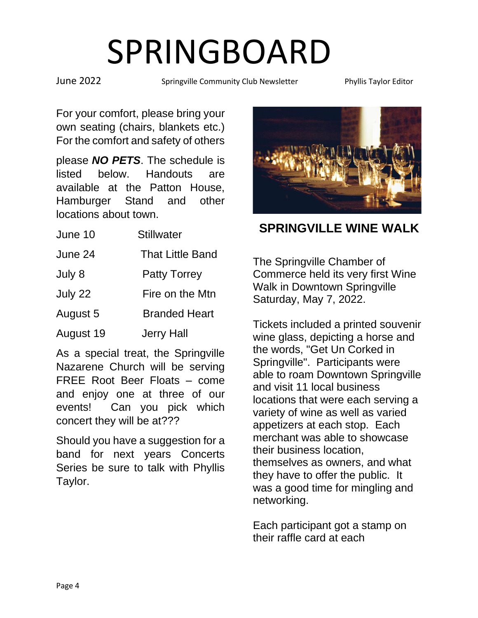June 2022 Springville Community Club Newsletter Phyllis Taylor Editor

For your comfort, please bring your own seating (chairs, blankets etc.) For the comfort and safety of others

please *NO PETS*. The schedule is listed below. Handouts are available at the Patton House, Hamburger Stand and other locations about town.

| June 10   | <b>Stillwater</b>       |
|-----------|-------------------------|
| June 24   | <b>That Little Band</b> |
| July 8    | <b>Patty Torrey</b>     |
| July 22   | Fire on the Mtn         |
| August 5  | <b>Branded Heart</b>    |
| August 19 | <b>Jerry Hall</b>       |

As a special treat, the Springville Nazarene Church will be serving FREE Root Beer Floats – come and enjoy one at three of our events! Can you pick which concert they will be at???

Should you have a suggestion for a band for next years Concerts Series be sure to talk with Phyllis Taylor.



**SPRINGVILLE WINE WALK** 

The Springville Chamber of Commerce held its very first Wine Walk in Downtown Springville Saturday, May 7, 2022.

Tickets included a printed souvenir wine glass, depicting a horse and the words, "Get Un Corked in Springville". Participants were able to roam Downtown Springville and visit 11 local business locations that were each serving a variety of wine as well as varied appetizers at each stop. Each merchant was able to showcase their business location, themselves as owners, and what they have to offer the public. It was a good time for mingling and networking.

Each participant got a stamp on their raffle card at each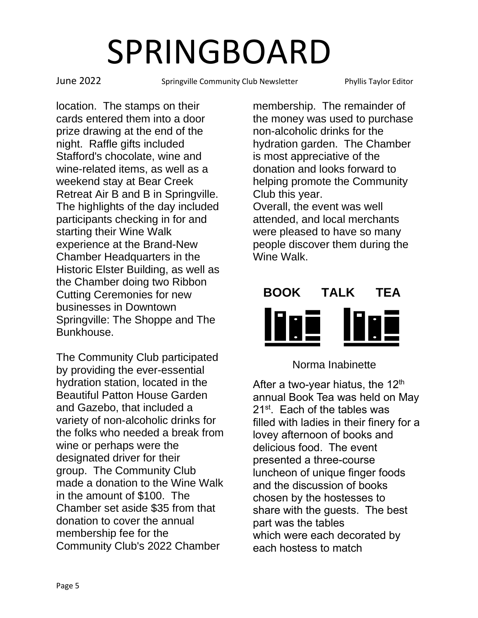June 2022 Springville Community Club Newsletter Phyllis Taylor Editor

location. The stamps on their cards entered them into a door prize drawing at the end of the night. Raffle gifts included Stafford's chocolate, wine and wine-related items, as well as a weekend stay at Bear Creek Retreat Air B and B in Springville. The highlights of the day included participants checking in for and starting their Wine Walk experience at the Brand-New Chamber Headquarters in the Historic Elster Building, as well as the Chamber doing two Ribbon Cutting Ceremonies for new businesses in Downtown Springville: The Shoppe and The Bunkhouse.

The Community Club participated by providing the ever-essential hydration station, located in the Beautiful Patton House Garden and Gazebo, that included a variety of non-alcoholic drinks for the folks who needed a break from wine or perhaps were the designated driver for their group. The Community Club made a donation to the Wine Walk in the amount of \$100. The Chamber set aside \$35 from that donation to cover the annual membership fee for the Community Club's 2022 Chamber

membership. The remainder of the money was used to purchase non-alcoholic drinks for the hydration garden. The Chamber is most appreciative of the donation and looks forward to helping promote the Community Club this year. Overall, the event was well attended, and local merchants

were pleased to have so many people discover them during the Wine Walk.



#### Norma Inabinette

After a two-year hiatus, the 12<sup>th</sup> annual Book Tea was held on May 21<sup>st</sup>. Each of the tables was filled with ladies in their finery for a lovey afternoon of books and delicious food. The event presented a three-course luncheon of unique finger foods and the discussion of books chosen by the hostesses to share with the guests. The best part was the tables which were each decorated by each hostess to match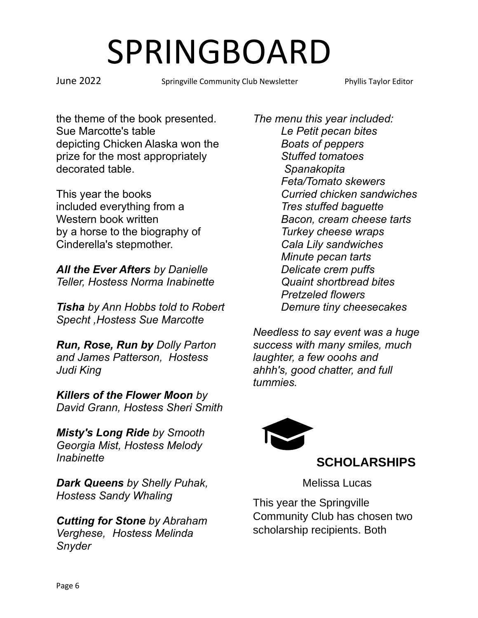June 2022 Springville Community Club Newsletter Phyllis Taylor Editor

the theme of the book presented. Sue Marcotte's table depicting Chicken Alaska won the prize for the most appropriately decorated table.

This year the books included everything from a Western book written by a horse to the biography of Cinderella's stepmother.

*All the Ever Afters by Danielle Teller, Hostess Norma Inabinette*

*Tisha by Ann Hobbs told to Robert Specht ,Hostess Sue Marcotte*

*Run, Rose, Run by Dolly Parton and James Patterson, Hostess Judi King*

*Killers of the Flower Moon by David Grann, Hostess Sheri Smith*

*Misty's Long Ride by Smooth Georgia Mist, Hostess Melody Inabinette*

*Dark Queens by Shelly Puhak, Hostess Sandy Whaling*

*Cutting for Stone by Abraham Verghese, Hostess Melinda Snyder*

*The menu this year included: Le Petit pecan bites Boats of peppers Stuffed tomatoes Spanakopita Feta/Tomato skewers Curried chicken sandwiches Tres stuffed baguette Bacon, cream cheese tarts Turkey cheese wraps Cala Lily sandwiches Minute pecan tarts Delicate crem puffs Quaint shortbread bites Pretzeled flowers Demure tiny cheesecakes*

*Needless to say event was a huge success with many smiles, much laughter, a few ooohs and ahhh's, good chatter, and full tummies.*



### **SCHOLARSHIPS**

Melissa Lucas

This year the Springville Community Club has chosen two scholarship recipients. Both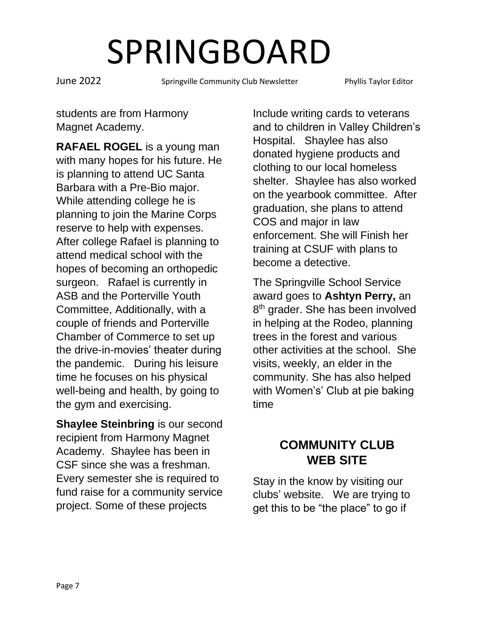June 2022 Springville Community Club Newsletter Phyllis Taylor Editor

students are from Harmony Magnet Academy.

**RAFAEL ROGEL** is a young man with many hopes for his future. He is planning to attend UC Santa Barbara with a Pre-Bio major. While attending college he is planning to join the Marine Corps reserve to help with expenses. After college Rafael is planning to attend medical school with the hopes of becoming an orthopedic surgeon. Rafael is currently in ASB and the Porterville Youth Committee, Additionally, with a couple of friends and Porterville Chamber of Commerce to set up the drive-in-movies' theater during the pandemic. During his leisure time he focuses on his physical well-being and health, by going to the gym and exercising.

**Shaylee Steinbring** is our second recipient from Harmony Magnet Academy. Shaylee has been in CSF since she was a freshman. Every semester she is required to fund raise for a community service project. Some of these projects

Include writing cards to veterans and to children in Valley Children's Hospital. Shaylee has also donated hygiene products and clothing to our local homeless shelter. Shaylee has also worked on the yearbook committee. After graduation, she plans to attend COS and major in law enforcement. She will Finish her training at CSUF with plans to become a detective.

The Springville School Service award goes to **Ashtyn Perry,** an 8<sup>th</sup> grader. She has been involved in helping at the Rodeo, planning trees in the forest and various other activities at the school. She visits, weekly, an elder in the community. She has also helped with Women's' Club at pie baking time

### **COMMUNITY CLUB WEB SITE**

Stay in the know by visiting our clubs' website. We are trying to get this to be "the place" to go if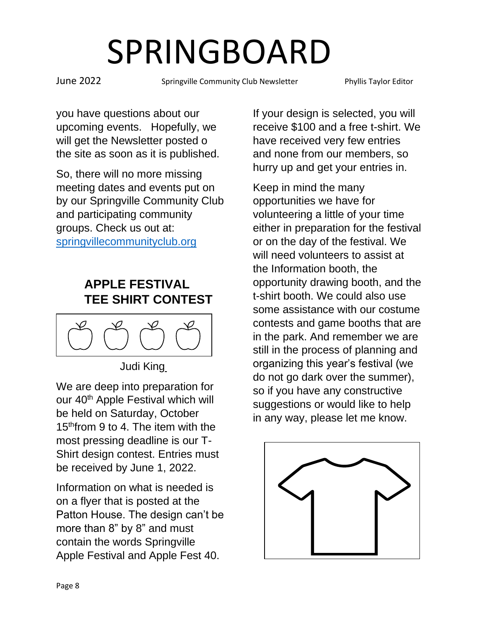June 2022 Springville Community Club Newsletter Phyllis Taylor Editor

you have questions about our upcoming events. Hopefully, we will get the Newsletter posted o the site as soon as it is published.

So, there will no more missing meeting dates and events put on by our Springville Community Club and participating community groups. Check us out at: [springvillecommunityclub.org](http://www.springvillecommunityclub.org/)

## **APPLE FESTIVAL TEE SHIRT CONTEST**



Judi King

We are deep into preparation for our 40<sup>th</sup> Apple Festival which will be held on Saturday, October 15<sup>th</sup>from 9 to 4. The item with the most pressing deadline is our T-Shirt design contest. Entries must be received by June 1, 2022.

Information on what is needed is on a flyer that is posted at the Patton House. The design can't be more than 8" by 8" and must contain the words Springville Apple Festival and Apple Fest 40.

If your design is selected, you will receive \$100 and a free t-shirt. We have received very few entries and none from our members, so hurry up and get your entries in.

Keep in mind the many opportunities we have for volunteering a little of your time either in preparation for the festival or on the day of the festival. We will need volunteers to assist at the Information booth, the opportunity drawing booth, and the t-shirt booth. We could also use some assistance with our costume contests and game booths that are in the park. And remember we are still in the process of planning and organizing this year's festival (we do not go dark over the summer), so if you have any constructive suggestions or would like to help in any way, please let me know.

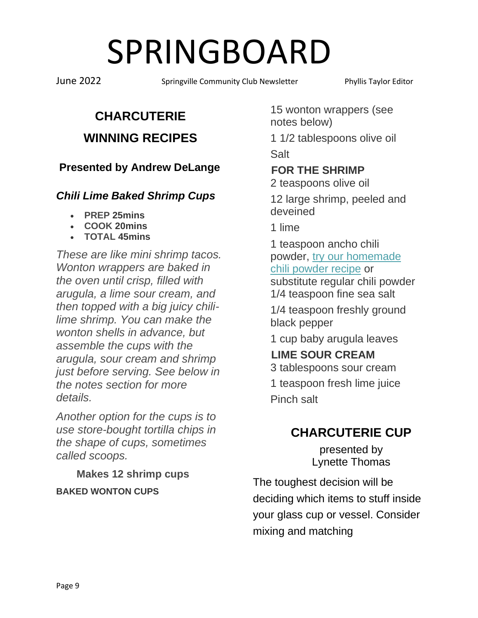June 2022 Springville Community Club Newsletter Phyllis Taylor Editor

# **CHARCUTERIE**

### **WINNING RECIPES**

**Presented by Andrew DeLange** 

#### *Chili Lime Baked Shrimp Cups*

- **PREP 25mins**
- **COOK 20mins**
- **TOTAL 45mins**

*These are like mini shrimp tacos. Wonton wrappers are baked in the oven until crisp, filled with arugula, a lime sour cream, and then topped with a big juicy chililime shrimp. You can make the wonton shells in advance, but assemble the cups with the arugula, sour cream and shrimp just before serving. See below in the notes section for more details.*

*Another option for the cups is to use store-bought tortilla chips in the shape of cups, sometimes called scoops.*

 **Makes 12 shrimp cups BAKED WONTON CUPS**

15 wonton wrappers (see notes below)

1 1/2 tablespoons olive oil **Salt** 

### **FOR THE SHRIMP**

2 teaspoons olive oil

12 large shrimp, peeled and deveined

1 lime

1 teaspoon ancho chili powder, [try our homemade](https://www.inspiredtaste.net/29667/chili-powder-recipe/)  [chili powder recipe](https://www.inspiredtaste.net/29667/chili-powder-recipe/) or substitute regular chili powder 1/4 teaspoon fine sea salt

1/4 teaspoon freshly ground black pepper

1 cup baby arugula leaves

 **LIME SOUR CREAM** 3 tablespoons sour cream

1 teaspoon fresh lime juice Pinch salt

## **CHARCUTERIE CUP**

presented by Lynette Thomas

The toughest decision will be deciding which items to stuff inside your glass cup or vessel. Consider mixing and matching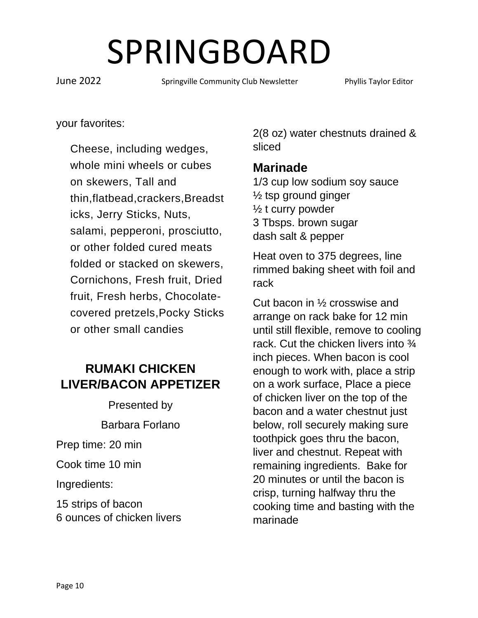June 2022 Springville Community Club Newsletter Phyllis Taylor Editor

your favorites:

Cheese, including wedges, whole mini wheels or cubes on skewers, Tall and thin,flatbead,crackers,Breadst icks, Jerry Sticks, Nuts, salami, pepperoni, prosciutto, or other folded cured meats folded or stacked on skewers, Cornichons, Fresh fruit, Dried fruit, Fresh herbs, Chocolatecovered pretzels,Pocky Sticks or other small candies

## **RUMAKI CHICKEN LIVER/BACON APPETIZER**

Presented by

Barbara Forlano

Prep time: 20 min

Cook time 10 min

Ingredients:

15 strips of bacon 6 ounces of chicken livers 2(8 oz) water chestnuts drained & sliced

### **Marinade**

1/3 cup low sodium soy sauce  $\frac{1}{2}$  tsp ground ginger  $\frac{1}{2}$  t curry powder 3 Tbsps. brown sugar dash salt & pepper

Heat oven to 375 degrees, line rimmed baking sheet with foil and rack

Cut bacon in ½ crosswise and arrange on rack bake for 12 min until still flexible, remove to cooling rack. Cut the chicken livers into  $\frac{3}{4}$ inch pieces. When bacon is cool enough to work with, place a strip on a work surface, Place a piece of chicken liver on the top of the bacon and a water chestnut just below, roll securely making sure toothpick goes thru the bacon, liver and chestnut. Repeat with remaining ingredients. Bake for 20 minutes or until the bacon is crisp, turning halfway thru the cooking time and basting with the marinade